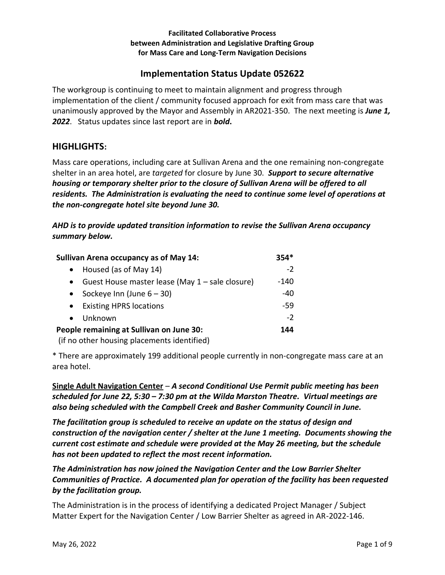#### **Facilitated Collaborative Process between Administration and Legislative Drafting Group for Mass Care and Long-Term Navigation Decisions**

# **Implementation Status Update 052622**

The workgroup is continuing to meet to maintain alignment and progress through implementation of the client / community focused approach for exit from mass care that was unanimously approved by the Mayor and Assembly in AR2021-350. The next meeting is *June 1, 2022*. Status updates since last report are in *bold***.** 

## **HIGHLIGHTS:**

Mass care operations, including care at Sullivan Arena and the one remaining non-congregate shelter in an area hotel, are *targeted* for closure by June 30. *Support to secure alternative housing or temporary shelter prior to the closure of Sullivan Arena will be offered to all residents. The Administration is evaluating the need to continue some level of operations at the non-congregate hotel site beyond June 30.*

*AHD is to provide updated transition information to revise the Sullivan Arena occupancy summary below.* 

| <b>Sullivan Arena occupancy as of May 14:</b>                                                                                                                                                                                                                              | $354*$ |
|----------------------------------------------------------------------------------------------------------------------------------------------------------------------------------------------------------------------------------------------------------------------------|--------|
| Housed (as of May 14)<br>$\bullet$                                                                                                                                                                                                                                         | $-2$   |
| Guest House master lease (May 1 - sale closure)<br>$\bullet$                                                                                                                                                                                                               | -140   |
| Sockeye Inn (June $6 - 30$ )<br>$\bullet$                                                                                                                                                                                                                                  | $-40$  |
| <b>Existing HPRS locations</b><br>$\bullet$                                                                                                                                                                                                                                | -59    |
| Unknown<br>$\bullet$                                                                                                                                                                                                                                                       | $-2$   |
| People remaining at Sullivan on June 30:<br>. And the complete state of the complete state of the confidential control of the state of the state of the state of the state of the state of the state of the state of the state of the state of the state of the state of t | 144    |

(if no other housing placements identified)

\* There are approximately 199 additional people currently in non-congregate mass care at an area hotel.

**Single Adult Navigation Center** – *A second Conditional Use Permit public meeting has been scheduled for June 22, 5:30 – 7:30 pm at the Wilda Marston Theatre. Virtual meetings are also being scheduled with the Campbell Creek and Basher Community Council in June.* 

*The facilitation group is scheduled to receive an update on the status of design and construction of the navigation center / shelter at the June 1 meeting. Documents showing the current cost estimate and schedule were provided at the May 26 meeting, but the schedule has not been updated to reflect the most recent information.* 

## *The Administration has now joined the Navigation Center and the Low Barrier Shelter Communities of Practice. A documented plan for operation of the facility has been requested by the facilitation group.*

The Administration is in the process of identifying a dedicated Project Manager / Subject Matter Expert for the Navigation Center / Low Barrier Shelter as agreed in AR-2022-146.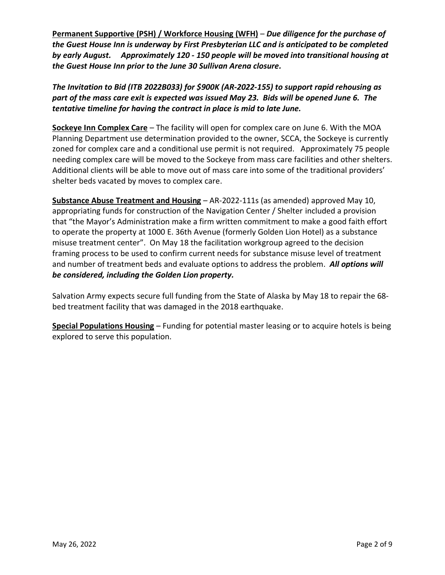**Permanent Supportive (PSH) / Workforce Housing (WFH)** – *Due diligence for the purchase of the Guest House Inn is underway by First Presbyterian LLC and is anticipated to be completed by early August. Approximately 120 - 150 people will be moved into transitional housing at the Guest House Inn prior to the June 30 Sullivan Arena closure.* 

*The Invitation to Bid (ITB 2022B033) for \$900K (AR-2022-155) to support rapid rehousing as part of the mass care exit is expected was issued May 23. Bids will be opened June 6. The tentative timeline for having the contract in place is mid to late June.* 

**Sockeye Inn Complex Care** – The facility will open for complex care on June 6. With the MOA Planning Department use determination provided to the owner, SCCA, the Sockeye is currently zoned for complex care and a conditional use permit is not required. Approximately 75 people needing complex care will be moved to the Sockeye from mass care facilities and other shelters. Additional clients will be able to move out of mass care into some of the traditional providers' shelter beds vacated by moves to complex care.

**Substance Abuse Treatment and Housing** – AR-2022-111s (as amended) approved May 10, appropriating funds for construction of the Navigation Center / Shelter included a provision that "the Mayor's Administration make a firm written commitment to make a good faith effort to operate the property at 1000 E. 36th Avenue (formerly Golden Lion Hotel) as a substance misuse treatment center". On May 18 the facilitation workgroup agreed to the decision framing process to be used to confirm current needs for substance misuse level of treatment and number of treatment beds and evaluate options to address the problem. *All options will be considered, including the Golden Lion property.* 

Salvation Army expects secure full funding from the State of Alaska by May 18 to repair the 68 bed treatment facility that was damaged in the 2018 earthquake.

**Special Populations Housing** – Funding for potential master leasing or to acquire hotels is being explored to serve this population.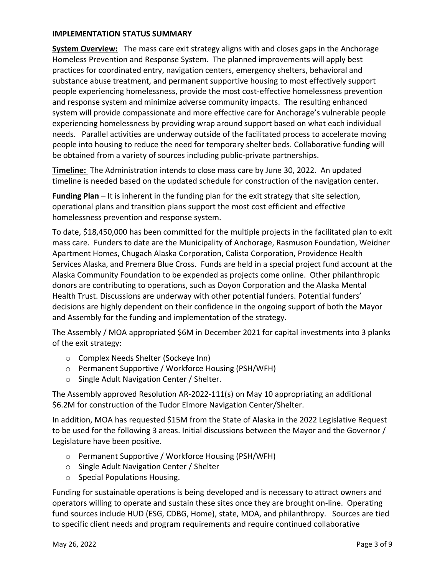#### **IMPLEMENTATION STATUS SUMMARY**

**System Overview:** The mass care exit strategy aligns with and closes gaps in the Anchorage Homeless Prevention and Response System. The planned improvements will apply best practices for coordinated entry, navigation centers, emergency shelters, behavioral and substance abuse treatment, and permanent supportive housing to most effectively support people experiencing homelessness, provide the most cost-effective homelessness prevention and response system and minimize adverse community impacts. The resulting enhanced system will provide compassionate and more effective care for Anchorage's vulnerable people experiencing homelessness by providing wrap around support based on what each individual needs. Parallel activities are underway outside of the facilitated process to accelerate moving people into housing to reduce the need for temporary shelter beds. Collaborative funding will be obtained from a variety of sources including public-private partnerships.

**Timeline:** The Administration intends to close mass care by June 30, 2022. An updated timeline is needed based on the updated schedule for construction of the navigation center.

**Funding Plan** – It is inherent in the funding plan for the exit strategy that site selection, operational plans and transition plans support the most cost efficient and effective homelessness prevention and response system.

To date, \$18,450,000 has been committed for the multiple projects in the facilitated plan to exit mass care. Funders to date are the Municipality of Anchorage, Rasmuson Foundation, Weidner Apartment Homes, Chugach Alaska Corporation, Calista Corporation, Providence Health Services Alaska, and Premera Blue Cross. Funds are held in a special project fund account at the Alaska Community Foundation to be expended as projects come online. Other philanthropic donors are contributing to operations, such as Doyon Corporation and the Alaska Mental Health Trust. Discussions are underway with other potential funders. Potential funders' decisions are highly dependent on their confidence in the ongoing support of both the Mayor and Assembly for the funding and implementation of the strategy.

The Assembly / MOA appropriated \$6M in December 2021 for capital investments into 3 planks of the exit strategy:

- o Complex Needs Shelter (Sockeye Inn)
- o Permanent Supportive / Workforce Housing (PSH/WFH)
- o Single Adult Navigation Center / Shelter.

The Assembly approved Resolution AR-2022-111(s) on May 10 appropriating an additional \$6.2M for construction of the Tudor Elmore Navigation Center/Shelter.

In addition, MOA has requested \$15M from the State of Alaska in the 2022 Legislative Request to be used for the following 3 areas. Initial discussions between the Mayor and the Governor / Legislature have been positive.

- o Permanent Supportive / Workforce Housing (PSH/WFH)
- o Single Adult Navigation Center / Shelter
- o Special Populations Housing.

Funding for sustainable operations is being developed and is necessary to attract owners and operators willing to operate and sustain these sites once they are brought on-line. Operating fund sources include HUD (ESG, CDBG, Home), state, MOA, and philanthropy. Sources are tied to specific client needs and program requirements and require continued collaborative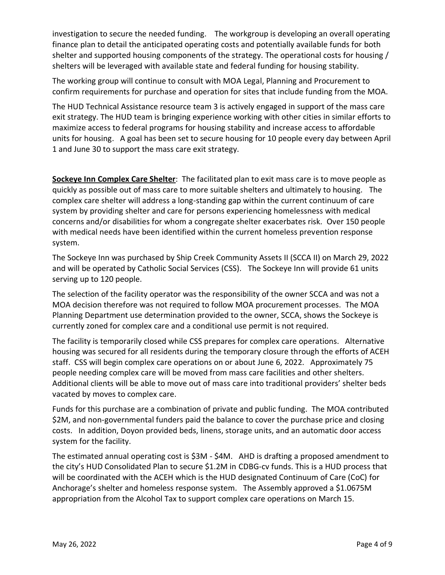investigation to secure the needed funding. The workgroup is developing an overall operating finance plan to detail the anticipated operating costs and potentially available funds for both shelter and supported housing components of the strategy. The operational costs for housing / shelters will be leveraged with available state and federal funding for housing stability.

The working group will continue to consult with MOA Legal, Planning and Procurement to confirm requirements for purchase and operation for sites that include funding from the MOA.

The HUD Technical Assistance resource team 3 is actively engaged in support of the mass care exit strategy. The HUD team is bringing experience working with other cities in similar efforts to maximize access to federal programs for housing stability and increase access to affordable units for housing. A goal has been set to secure housing for 10 people every day between April 1 and June 30 to support the mass care exit strategy.

**Sockeye Inn Complex Care Shelter**:The facilitated plan to exit mass care is to move people as quickly as possible out of mass care to more suitable shelters and ultimately to housing. The complex care shelter will address a long-standing gap within the current continuum of care system by providing shelter and care for persons experiencing homelessness with medical concerns and/or disabilities for whom a congregate shelter exacerbates risk.Over 150 people with medical needs have been identified within the current homeless prevention response system.

The Sockeye Inn was purchased by Ship Creek Community Assets II (SCCA II) on March 29, 2022 and will be operated by Catholic Social Services (CSS). The Sockeye Inn will provide 61 units serving up to 120 people.

The selection of the facility operator was the responsibility of the owner SCCA and was not a MOA decision therefore was not required to follow MOA procurement processes. The MOA Planning Department use determination provided to the owner, SCCA, shows the Sockeye is currently zoned for complex care and a conditional use permit is not required.

The facility is temporarily closed while CSS prepares for complex care operations. Alternative housing was secured for all residents during the temporary closure through the efforts of ACEH staff. CSS will begin complex care operations on or about June 6, 2022. Approximately 75 people needing complex care will be moved from mass care facilities and other shelters. Additional clients will be able to move out of mass care into traditional providers' shelter beds vacated by moves to complex care.

Funds for this purchase are a combination of private and public funding. The MOA contributed \$2M, and non-governmental funders paid the balance to cover the purchase price and closing costs. In addition, Doyon provided beds, linens, storage units, and an automatic door access system for the facility.

The estimated annual operating cost is \$3M - \$4M. AHD is drafting a proposed amendment to the city's HUD Consolidated Plan to secure \$1.2M in CDBG-cv funds. This is a HUD process that will be coordinated with the ACEH which is the HUD designated Continuum of Care (CoC) for Anchorage's shelter and homeless response system. The Assembly approved a \$1.0675M appropriation from the Alcohol Tax to support complex care operations on March 15.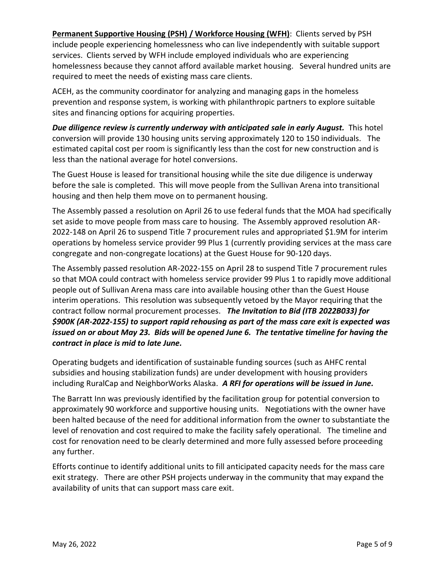**Permanent Supportive Housing (PSH) / Workforce Housing (WFH)**: Clients served by PSH include people experiencing homelessness who can live independently with suitable support services. Clients served by WFH include employed individuals who are experiencing homelessness because they cannot afford available market housing. Several hundred units are required to meet the needs of existing mass care clients.

ACEH, as the community coordinator for analyzing and managing gaps in the homeless prevention and response system, is working with philanthropic partners to explore suitable sites and financing options for acquiring properties.

*Due diligence review is currently underway with anticipated sale in early August.* This hotel conversion will provide 130 housing units serving approximately 120 to 150 individuals.The estimated capital cost per room is significantly less than the cost for new construction and is less than the national average for hotel conversions.

The Guest House is leased for transitional housing while the site due diligence is underway before the sale is completed. This will move people from the Sullivan Arena into transitional housing and then help them move on to permanent housing.

The Assembly passed a resolution on April 26 to use federal funds that the MOA had specifically set aside to move people from mass care to housing. The Assembly approved resolution AR-2022-148 on April 26 to suspend Title 7 procurement rules and appropriated \$1.9M for interim operations by homeless service provider 99 Plus 1 (currently providing services at the mass care congregate and non-congregate locations) at the Guest House for 90-120 days.

The Assembly passed resolution AR-2022-155 on April 28 to suspend Title 7 procurement rules so that MOA could contract with homeless service provider 99 Plus 1 to rapidly move additional people out of Sullivan Arena mass care into available housing other than the Guest House interim operations. This resolution was subsequently vetoed by the Mayor requiring that the contract follow normal procurement processes. *The Invitation to Bid (ITB 2022B033) for \$900K (AR-2022-155) to support rapid rehousing as part of the mass care exit is expected was issued on or about May 23. Bids will be opened June 6. The tentative timeline for having the contract in place is mid to late June.* 

Operating budgets and identification of sustainable funding sources (such as AHFC rental subsidies and housing stabilization funds) are under development with housing providers including RuralCap and NeighborWorks Alaska. *A RFI for operations will be issued in June.*

The Barratt Inn was previously identified by the facilitation group for potential conversion to approximately 90 workforce and supportive housing units. Negotiations with the owner have been halted because of the need for additional information from the owner to substantiate the level of renovation and cost required to make the facility safely operational. The timeline and cost for renovation need to be clearly determined and more fully assessed before proceeding any further.

Efforts continue to identify additional units to fill anticipated capacity needs for the mass care exit strategy. There are other PSH projects underway in the community that may expand the availability of units that can support mass care exit.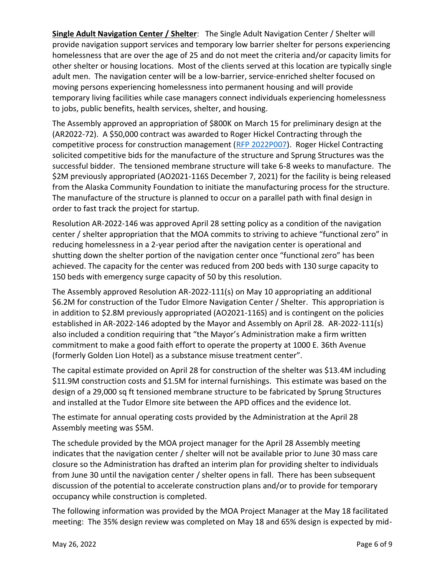**Single Adult Navigation Center / Shelter**: The Single Adult Navigation Center / Shelter will provide navigation support services and temporary low barrier shelter for persons experiencing homelessness that are over the age of 25 and do not meet the criteria and/or capacity limits for other shelter or housing locations. Most of the clients served at this location are typically single adult men. The navigation center will be a low-barrier, service-enriched shelter focused on moving persons experiencing homelessness into permanent housing and will provide temporary living facilities while case managers connect individuals experiencing homelessness to jobs, public benefits, health services, shelter, and housing.

The Assembly approved an appropriation of \$800K on March 15 for preliminary design at the (AR2022-72). A \$50,000 contract was awarded to Roger Hickel Contracting through the competitive process for construction management [\(RFP 2022P007\)](https://purchasing.muni.org/Web%20E-Bid/Open/rfp/2022P007%20Navigation%20Center/Proposal%20Document/2022P007%20-%20Navigation%20Center.pdf). Roger Hickel Contracting solicited competitive bids for the manufacture of the structure and Sprung Structures was the successful bidder. The tensioned membrane structure will take 6-8 weeks to manufacture. The \$2M previously appropriated (AO2021-116S December 7, 2021) for the facility is being released from the Alaska Community Foundation to initiate the manufacturing process for the structure. The manufacture of the structure is planned to occur on a parallel path with final design in order to fast track the project for startup.

Resolution AR-2022-146 was approved April 28 setting policy as a condition of the navigation center / shelter appropriation that the MOA commits to striving to achieve "functional zero" in reducing homelessness in a 2-year period after the navigation center is operational and shutting down the shelter portion of the navigation center once "functional zero" has been achieved. The capacity for the center was reduced from 200 beds with 130 surge capacity to 150 beds with emergency surge capacity of 50 by this resolution.

The Assembly approved Resolution AR-2022-111(s) on May 10 appropriating an additional \$6.2M for construction of the Tudor Elmore Navigation Center / Shelter. This appropriation is in addition to \$2.8M previously appropriated (AO2021-116S) and is contingent on the policies established in AR-2022-146 adopted by the Mayor and Assembly on April 28. AR-2022-111(s) also included a condition requiring that "the Mayor's Administration make a firm written commitment to make a good faith effort to operate the property at 1000 E. 36th Avenue (formerly Golden Lion Hotel) as a substance misuse treatment center".

The capital estimate provided on April 28 for construction of the shelter was \$13.4M including \$11.9M construction costs and \$1.5M for internal furnishings. This estimate was based on the design of a 29,000 sq ft tensioned membrane structure to be fabricated by Sprung Structures and installed at the Tudor Elmore site between the APD offices and the evidence lot.

The estimate for annual operating costs provided by the Administration at the April 28 Assembly meeting was \$5M.

The schedule provided by the MOA project manager for the April 28 Assembly meeting indicates that the navigation center / shelter will not be available prior to June 30 mass care closure so the Administration has drafted an interim plan for providing shelter to individuals from June 30 until the navigation center / shelter opens in fall. There has been subsequent discussion of the potential to accelerate construction plans and/or to provide for temporary occupancy while construction is completed.

The following information was provided by the MOA Project Manager at the May 18 facilitated meeting: The 35% design review was completed on May 18 and 65% design is expected by mid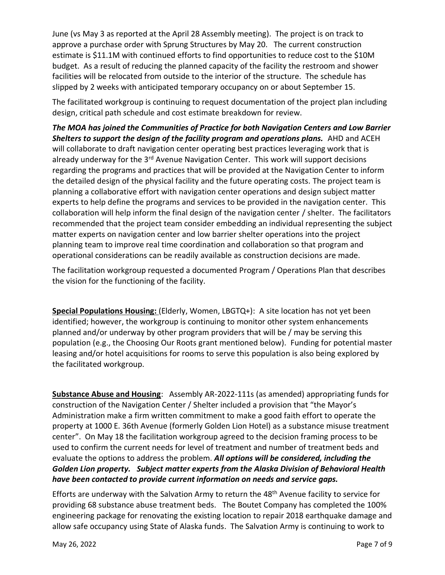June (vs May 3 as reported at the April 28 Assembly meeting). The project is on track to approve a purchase order with Sprung Structures by May 20. The current construction estimate is \$11.1M with continued efforts to find opportunities to reduce cost to the \$10M budget. As a result of reducing the planned capacity of the facility the restroom and shower facilities will be relocated from outside to the interior of the structure. The schedule has slipped by 2 weeks with anticipated temporary occupancy on or about September 15.

The facilitated workgroup is continuing to request documentation of the project plan including design, critical path schedule and cost estimate breakdown for review.

*The MOA has joined the Communities of Practice for both Navigation Centers and Low Barrier*  **Shelters to support the design of the facility program and operations plans.** AHD and ACEH will collaborate to draft navigation center operating best practices leveraging work that is already underway for the 3<sup>rd</sup> Avenue Navigation Center. This work will support decisions regarding the programs and practices that will be provided at the Navigation Center to inform the detailed design of the physical facility and the future operating costs. The project team is planning a collaborative effort with navigation center operations and design subject matter experts to help define the programs and services to be provided in the navigation center. This collaboration will help inform the final design of the navigation center / shelter. The facilitators recommended that the project team consider embedding an individual representing the subject matter experts on navigation center and low barrier shelter operations into the project planning team to improve real time coordination and collaboration so that program and operational considerations can be readily available as construction decisions are made.

The facilitation workgroup requested a documented Program / Operations Plan that describes the vision for the functioning of the facility.

**Special Populations Housing:** (Elderly, Women, LBGTQ+): A site location has not yet been identified; however, the workgroup is continuing to monitor other system enhancements planned and/or underway by other program providers that will be / may be serving this population (e.g., the Choosing Our Roots grant mentioned below). Funding for potential master leasing and/or hotel acquisitions for rooms to serve this population is also being explored by the facilitated workgroup.

**Substance Abuse and Housing**: Assembly AR-2022-111s (as amended) appropriating funds for construction of the Navigation Center / Shelter included a provision that "the Mayor's Administration make a firm written commitment to make a good faith effort to operate the property at 1000 E. 36th Avenue (formerly Golden Lion Hotel) as a substance misuse treatment center". On May 18 the facilitation workgroup agreed to the decision framing process to be used to confirm the current needs for level of treatment and number of treatment beds and evaluate the options to address the problem. *All options will be considered, including the Golden Lion property. Subject matter experts from the Alaska Division of Behavioral Health have been contacted to provide current information on needs and service gaps.* 

Efforts are underway with the Salvation Army to return the 48<sup>th</sup> Avenue facility to service for providing 68 substance abuse treatment beds. The Boutet Company has completed the 100% engineering package for renovating the existing location to repair 2018 earthquake damage and allow safe occupancy using State of Alaska funds. The Salvation Army is continuing to work to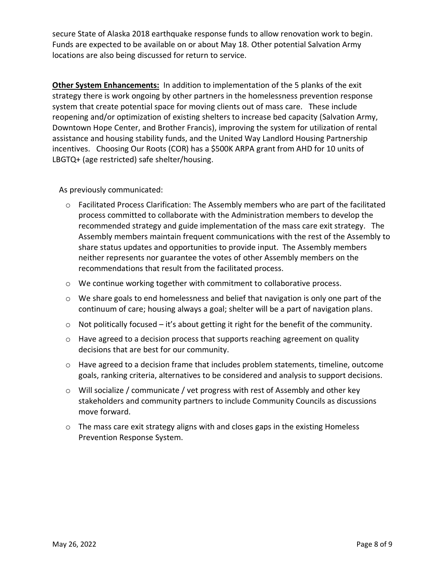secure State of Alaska 2018 earthquake response funds to allow renovation work to begin. Funds are expected to be available on or about May 18. Other potential Salvation Army locations are also being discussed for return to service.

**Other System Enhancements:** In addition to implementation of the 5 planks of the exit strategy there is work ongoing by other partners in the homelessness prevention response system that create potential space for moving clients out of mass care. These include reopening and/or optimization of existing shelters to increase bed capacity (Salvation Army, Downtown Hope Center, and Brother Francis), improving the system for utilization of rental assistance and housing stability funds, and the United Way Landlord Housing Partnership incentives. Choosing Our Roots (COR) has a \$500K ARPA grant from AHD for 10 units of LBGTQ+ (age restricted) safe shelter/housing.

As previously communicated:

- $\circ$  Facilitated Process Clarification: The Assembly members who are part of the facilitated process committed to collaborate with the Administration members to develop the recommended strategy and guide implementation of the mass care exit strategy. The Assembly members maintain frequent communications with the rest of the Assembly to share status updates and opportunities to provide input. The Assembly members neither represents nor guarantee the votes of other Assembly members on the recommendations that result from the facilitated process.
- o We continue working together with commitment to collaborative process.
- o We share goals to end homelessness and belief that navigation is only one part of the continuum of care; housing always a goal; shelter will be a part of navigation plans.
- $\circ$  Not politically focused it's about getting it right for the benefit of the community.
- o Have agreed to a decision process that supports reaching agreement on quality decisions that are best for our community.
- o Have agreed to a decision frame that includes problem statements, timeline, outcome goals, ranking criteria, alternatives to be considered and analysis to support decisions.
- o Will socialize / communicate / vet progress with rest of Assembly and other key stakeholders and community partners to include Community Councils as discussions move forward.
- o The mass care exit strategy aligns with and closes gaps in the existing Homeless Prevention Response System.